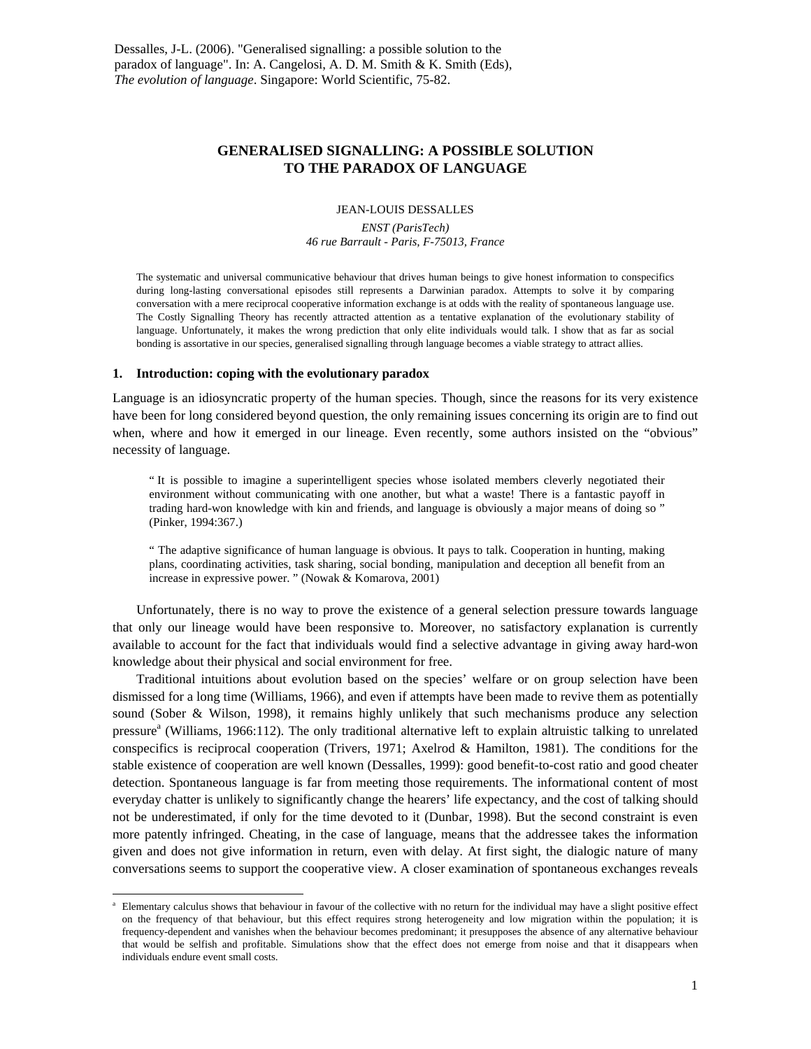# **GENERALISED SIGNALLING: A POSSIBLE SOLUTION TO THE PARADOX OF LANGUAGE**

### JEAN-LOUIS DESSALLES

*ENST (ParisTech) 46 rue Barrault - Paris, F-75013, France*

The systematic and universal communicative behaviour that drives human beings to give honest information to conspecifics during long-lasting conversational episodes still represents a Darwinian paradox. Attempts to solve it by comparing conversation with a mere reciprocal cooperative information exchange is at odds with the reality of spontaneous language use. The Costly Signalling Theory has recently attracted attention as a tentative explanation of the evolutionary stability of language. Unfortunately, it makes the wrong prediction that only elite individuals would talk. I show that as far as social bonding is assortative in our species, generalised signalling through language becomes a viable strategy to attract allies.

### **1. Introduction: coping with the evolutionary paradox**

1

Language is an idiosyncratic property of the human species. Though, since the reasons for its very existence have been for long considered beyond question, the only remaining issues concerning its origin are to find out when, where and how it emerged in our lineage. Even recently, some authors insisted on the "obvious" necessity of language.

" It is possible to imagine a superintelligent species whose isolated members cleverly negotiated their environment without communicating with one another, but what a waste! There is a fantastic payoff in trading hard-won knowledge with kin and friends, and language is obviously a major means of doing so " (Pinker, 1994:367.)

" The adaptive significance of human language is obvious. It pays to talk. Cooperation in hunting, making plans, coordinating activities, task sharing, social bonding, manipulation and deception all benefit from an increase in expressive power. " (Nowak & Komarova, 2001)

Unfortunately, there is no way to prove the existence of a general selection pressure towards language that only our lineage would have been responsive to. Moreover, no satisfactory explanation is currently available to account for the fact that individuals would find a selective advantage in giving away hard-won knowledge about their physical and social environment for free.

Traditional intuitions about evolution based on the species' welfare or on group selection have been dismissed for a long time (Williams, 1966), and even if attempts have been made to revive them as potentially sound (Sober & Wilson, 1998), it remains highly unlikely that such mechanisms produce any selection pressure<sup>a</sup> (Williams, 1966:112). The only traditional alternative left to explain altruistic talking to unrelated conspecifics is reciprocal cooperation (Trivers, 1971; Axelrod & Hamilton, 1981). The conditions for the stable existence of cooperation are well known (Dessalles, 1999): good benefit-to-cost ratio and good cheater detection. Spontaneous language is far from meeting those requirements. The informational content of most everyday chatter is unlikely to significantly change the hearers' life expectancy, and the cost of talking should not be underestimated, if only for the time devoted to it (Dunbar, 1998). But the second constraint is even more patently infringed. Cheating, in the case of language, means that the addressee takes the information given and does not give information in return, even with delay. At first sight, the dialogic nature of many conversations seems to support the cooperative view. A closer examination of spontaneous exchanges reveals

<sup>&</sup>lt;sup>a</sup> Elementary calculus shows that behaviour in favour of the collective with no return for the individual may have a slight positive effect on the frequency of that behaviour, but this effect requires strong heterogeneity and low migration within the population; it is frequency-dependent and vanishes when the behaviour becomes predominant; it presupposes the absence of any alternative behaviour that would be selfish and profitable. Simulations show that the effect does not emerge from noise and that it disappears when individuals endure event small costs.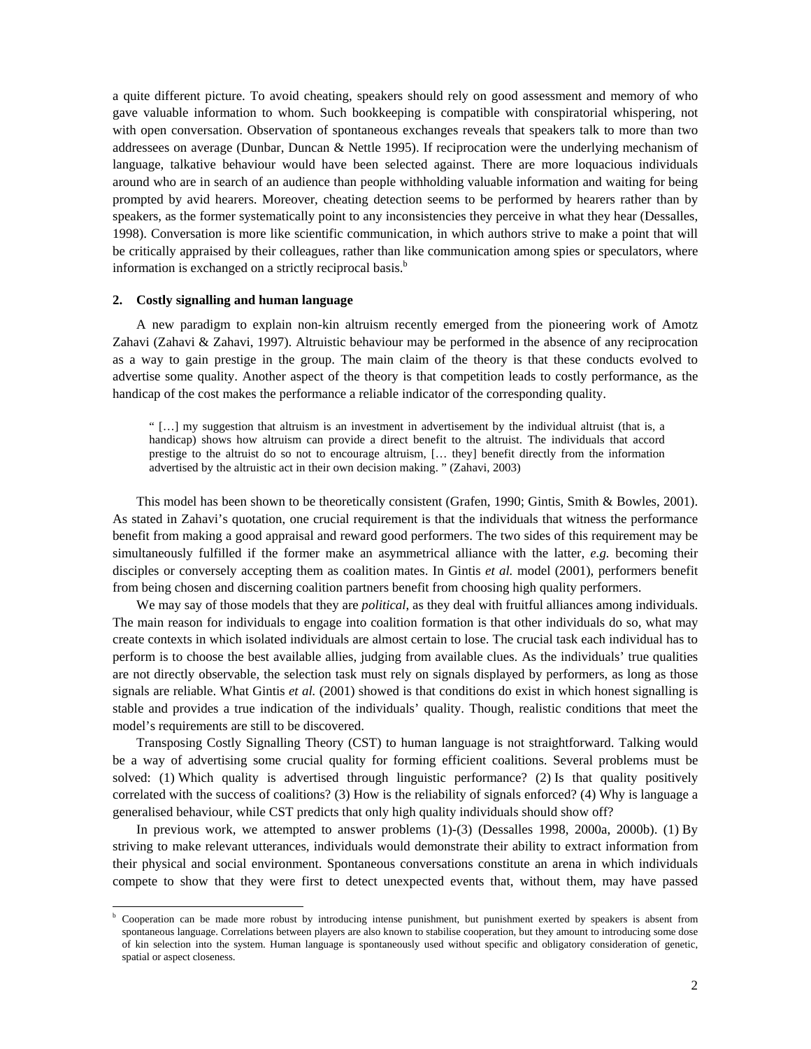a quite different picture. To avoid cheating, speakers should rely on good assessment and memory of who gave valuable information to whom. Such bookkeeping is compatible with conspiratorial whispering, not with open conversation. Observation of spontaneous exchanges reveals that speakers talk to more than two addressees on average (Dunbar, Duncan & Nettle 1995). If reciprocation were the underlying mechanism of language, talkative behaviour would have been selected against. There are more loquacious individuals around who are in search of an audience than people withholding valuable information and waiting for being prompted by avid hearers. Moreover, cheating detection seems to be performed by hearers rather than by speakers, as the former systematically point to any inconsistencies they perceive in what they hear (Dessalles, 1998). Conversation is more like scientific communication, in which authors strive to make a point that will be critically appraised by their colleagues, rather than like communication among spies or speculators, where information is exchanged on a strictly reciprocal basis.<sup>b</sup>

### **2. Costly signalling and human language**

-

A new paradigm to explain non-kin altruism recently emerged from the pioneering work of Amotz Zahavi (Zahavi & Zahavi, 1997). Altruistic behaviour may be performed in the absence of any reciprocation as a way to gain prestige in the group. The main claim of the theory is that these conducts evolved to advertise some quality. Another aspect of the theory is that competition leads to costly performance, as the handicap of the cost makes the performance a reliable indicator of the corresponding quality.

" […] my suggestion that altruism is an investment in advertisement by the individual altruist (that is, a handicap) shows how altruism can provide a direct benefit to the altruist. The individuals that accord prestige to the altruist do so not to encourage altruism, [… they] benefit directly from the information advertised by the altruistic act in their own decision making. " (Zahavi, 2003)

This model has been shown to be theoretically consistent (Grafen, 1990; Gintis, Smith & Bowles, 2001). As stated in Zahavi's quotation, one crucial requirement is that the individuals that witness the performance benefit from making a good appraisal and reward good performers. The two sides of this requirement may be simultaneously fulfilled if the former make an asymmetrical alliance with the latter, *e.g.* becoming their disciples or conversely accepting them as coalition mates. In Gintis *et al.* model (2001), performers benefit from being chosen and discerning coalition partners benefit from choosing high quality performers.

We may say of those models that they are *political*, as they deal with fruitful alliances among individuals. The main reason for individuals to engage into coalition formation is that other individuals do so, what may create contexts in which isolated individuals are almost certain to lose. The crucial task each individual has to perform is to choose the best available allies, judging from available clues. As the individuals' true qualities are not directly observable, the selection task must rely on signals displayed by performers, as long as those signals are reliable. What Gintis *et al.* (2001) showed is that conditions do exist in which honest signalling is stable and provides a true indication of the individuals' quality. Though, realistic conditions that meet the model's requirements are still to be discovered.

Transposing Costly Signalling Theory (CST) to human language is not straightforward. Talking would be a way of advertising some crucial quality for forming efficient coalitions. Several problems must be solved: (1) Which quality is advertised through linguistic performance? (2) Is that quality positively correlated with the success of coalitions? (3) How is the reliability of signals enforced? (4) Why is language a generalised behaviour, while CST predicts that only high quality individuals should show off?

In previous work, we attempted to answer problems (1)-(3) (Dessalles 1998, 2000a, 2000b). (1) By striving to make relevant utterances, individuals would demonstrate their ability to extract information from their physical and social environment. Spontaneous conversations constitute an arena in which individuals compete to show that they were first to detect unexpected events that, without them, may have passed

b Cooperation can be made more robust by introducing intense punishment, but punishment exerted by speakers is absent from spontaneous language. Correlations between players are also known to stabilise cooperation, but they amount to introducing some dose of kin selection into the system. Human language is spontaneously used without specific and obligatory consideration of genetic, spatial or aspect closeness.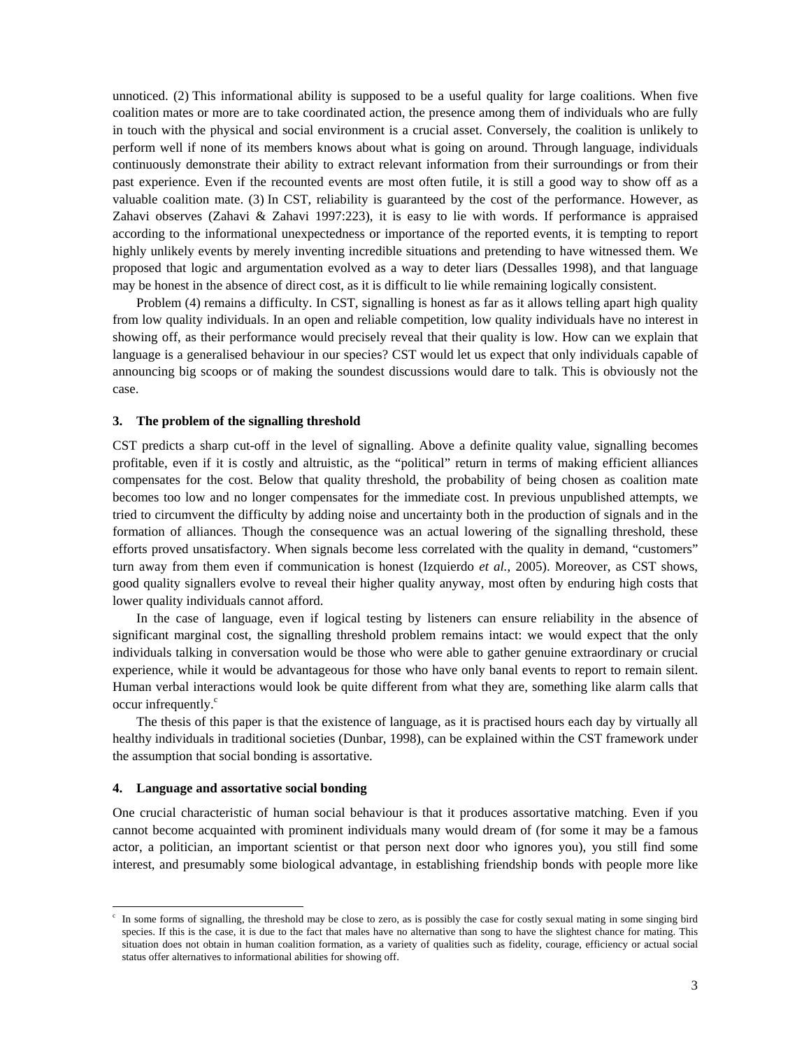unnoticed. (2) This informational ability is supposed to be a useful quality for large coalitions. When five coalition mates or more are to take coordinated action, the presence among them of individuals who are fully in touch with the physical and social environment is a crucial asset. Conversely, the coalition is unlikely to perform well if none of its members knows about what is going on around. Through language, individuals continuously demonstrate their ability to extract relevant information from their surroundings or from their past experience. Even if the recounted events are most often futile, it is still a good way to show off as a valuable coalition mate. (3) In CST, reliability is guaranteed by the cost of the performance. However, as Zahavi observes (Zahavi & Zahavi 1997:223), it is easy to lie with words. If performance is appraised according to the informational unexpectedness or importance of the reported events, it is tempting to report highly unlikely events by merely inventing incredible situations and pretending to have witnessed them. We proposed that logic and argumentation evolved as a way to deter liars (Dessalles 1998), and that language may be honest in the absence of direct cost, as it is difficult to lie while remaining logically consistent.

Problem (4) remains a difficulty. In CST, signalling is honest as far as it allows telling apart high quality from low quality individuals. In an open and reliable competition, low quality individuals have no interest in showing off, as their performance would precisely reveal that their quality is low. How can we explain that language is a generalised behaviour in our species? CST would let us expect that only individuals capable of announcing big scoops or of making the soundest discussions would dare to talk. This is obviously not the case.

### **3. The problem of the signalling threshold**

CST predicts a sharp cut-off in the level of signalling. Above a definite quality value, signalling becomes profitable, even if it is costly and altruistic, as the "political" return in terms of making efficient alliances compensates for the cost. Below that quality threshold, the probability of being chosen as coalition mate becomes too low and no longer compensates for the immediate cost. In previous unpublished attempts, we tried to circumvent the difficulty by adding noise and uncertainty both in the production of signals and in the formation of alliances. Though the consequence was an actual lowering of the signalling threshold, these efforts proved unsatisfactory. When signals become less correlated with the quality in demand, "customers" turn away from them even if communication is honest (Izquierdo *et al.*, 2005). Moreover, as CST shows, good quality signallers evolve to reveal their higher quality anyway, most often by enduring high costs that lower quality individuals cannot afford.

In the case of language, even if logical testing by listeners can ensure reliability in the absence of significant marginal cost, the signalling threshold problem remains intact: we would expect that the only individuals talking in conversation would be those who were able to gather genuine extraordinary or crucial experience, while it would be advantageous for those who have only banal events to report to remain silent. Human verbal interactions would look be quite different from what they are, something like alarm calls that occur infrequently.<sup>c</sup>

The thesis of this paper is that the existence of language, as it is practised hours each day by virtually all healthy individuals in traditional societies (Dunbar, 1998), can be explained within the CST framework under the assumption that social bonding is assortative.

#### **4. Language and assortative social bonding**

-

One crucial characteristic of human social behaviour is that it produces assortative matching. Even if you cannot become acquainted with prominent individuals many would dream of (for some it may be a famous actor, a politician, an important scientist or that person next door who ignores you), you still find some interest, and presumably some biological advantage, in establishing friendship bonds with people more like

c In some forms of signalling, the threshold may be close to zero, as is possibly the case for costly sexual mating in some singing bird species. If this is the case, it is due to the fact that males have no alternative than song to have the slightest chance for mating. This situation does not obtain in human coalition formation, as a variety of qualities such as fidelity, courage, efficiency or actual social status offer alternatives to informational abilities for showing off.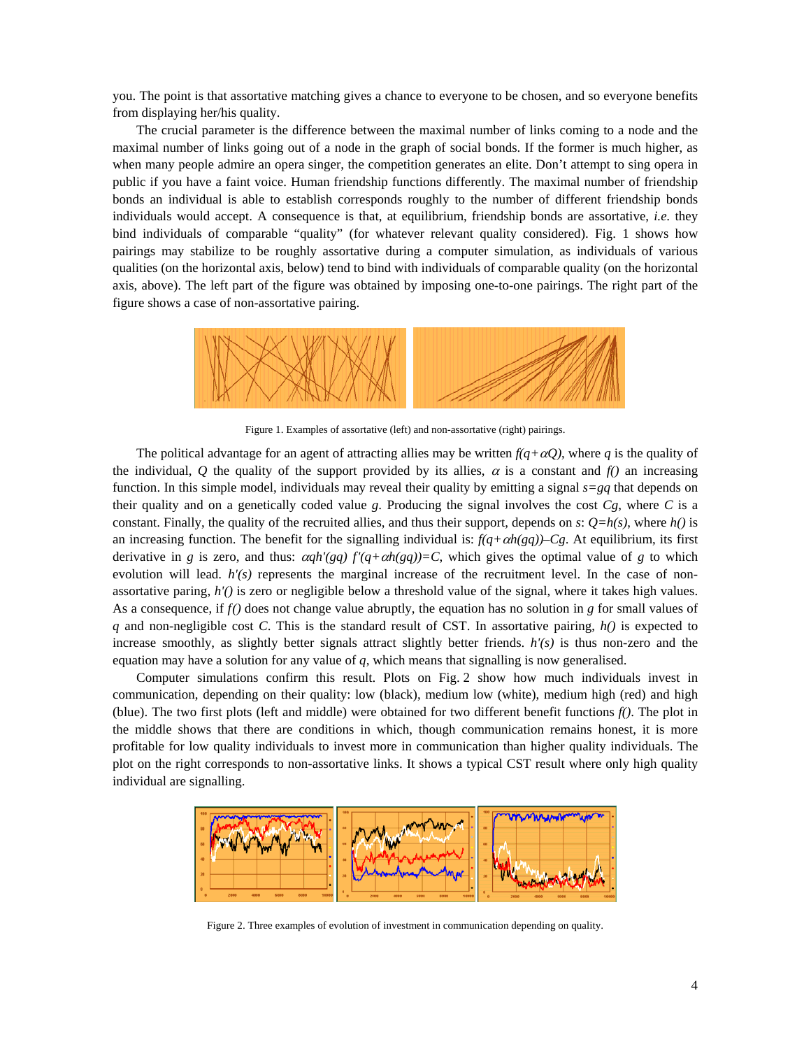you. The point is that assortative matching gives a chance to everyone to be chosen, and so everyone benefits from displaying her/his quality.

The crucial parameter is the difference between the maximal number of links coming to a node and the maximal number of links going out of a node in the graph of social bonds. If the former is much higher, as when many people admire an opera singer, the competition generates an elite. Don't attempt to sing opera in public if you have a faint voice. Human friendship functions differently. The maximal number of friendship bonds an individual is able to establish corresponds roughly to the number of different friendship bonds individuals would accept. A consequence is that, at equilibrium, friendship bonds are assortative, *i.e.* they bind individuals of comparable "quality" (for whatever relevant quality considered). Fig. 1 shows how pairings may stabilize to be roughly assortative during a computer simulation, as individuals of various qualities (on the horizontal axis, below) tend to bind with individuals of comparable quality (on the horizontal axis, above). The left part of the figure was obtained by imposing one-to-one pairings. The right part of the figure shows a case of non-assortative pairing.



Figure 1. Examples of assortative (left) and non-assortative (right) pairings.

The political advantage for an agent of attracting allies may be written  $f(q+\alpha Q)$ , where *q* is the quality of the individual, O the quality of the support provided by its allies,  $\alpha$  is a constant and  $f(\alpha)$  an increasing function. In this simple model, individuals may reveal their quality by emitting a signal *s=gq* that depends on their quality and on a genetically coded value  $g$ . Producing the signal involves the cost  $Cg$ , where  $C$  is a constant. Finally, the quality of the recruited allies, and thus their support, depends on  $s: Q=h(s)$ , where  $h(t)$  is an increasing function. The benefit for the signalling individual is:  $f(q + \alpha h(gq))$ –Cg. At equilibrium, its first derivative in *g* is zero, and thus:  $\alpha gh'(gq) f'(q + \alpha h(gq)) = C$ , which gives the optimal value of *g* to which evolution will lead.  $h'(s)$  represents the marginal increase of the recruitment level. In the case of nonassortative paring, *h'()* is zero or negligible below a threshold value of the signal, where it takes high values. As a consequence, if *f()* does not change value abruptly, the equation has no solution in *g* for small values of *q* and non-negligible cost *C*. This is the standard result of CST. In assortative pairing, *h()* is expected to increase smoothly, as slightly better signals attract slightly better friends. *h'(s)* is thus non-zero and the equation may have a solution for any value of *q*, which means that signalling is now generalised.

Computer simulations confirm this result. Plots on Fig. 2 show how much individuals invest in communication, depending on their quality: low (black), medium low (white), medium high (red) and high (blue). The two first plots (left and middle) were obtained for two different benefit functions  $f(t)$ . The plot in the middle shows that there are conditions in which, though communication remains honest, it is more profitable for low quality individuals to invest more in communication than higher quality individuals. The plot on the right corresponds to non-assortative links. It shows a typical CST result where only high quality individual are signalling.



Figure 2. Three examples of evolution of investment in communication depending on quality.